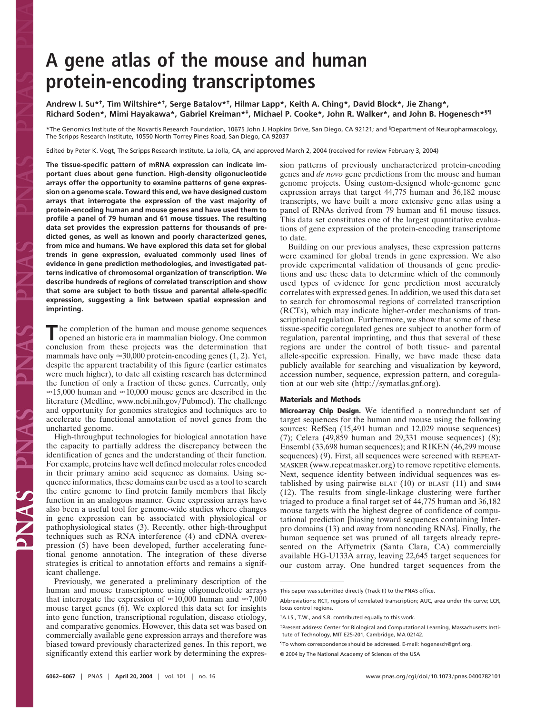## **A gene atlas of the mouse and human protein-encoding transcriptomes**

**Andrew I. Su\*†, Tim Wiltshire\*†, Serge Batalov\*†, Hilmar Lapp\*, Keith A. Ching\*, David Block\*, Jie Zhang\*, Richard Soden\*, Mimi Hayakawa\*, Gabriel Kreiman\*‡, Michael P. Cooke\*, John R. Walker\*, and John B. Hogenesch\*§¶**

\*The Genomics Institute of the Novartis Research Foundation, 10675 John J. Hopkins Drive, San Diego, CA 92121; and §Department of Neuropharmacology, The Scripps Research Institute, 10550 North Torrey Pines Road, San Diego, CA 92037

Edited by Peter K. Vogt, The Scripps Research Institute, La Jolla, CA, and approved March 2, 2004 (received for review February 3, 2004)

**The tissue-specific pattern of mRNA expression can indicate important clues about gene function. High-density oligonucleotide arrays offer the opportunity to examine patterns of gene expression on a genome scale. Toward this end, we have designed custom arrays that interrogate the expression of the vast majority of protein-encoding human and mouse genes and have used them to profile a panel of 79 human and 61 mouse tissues. The resulting data set provides the expression patterns for thousands of predicted genes, as well as known and poorly characterized genes, from mice and humans. We have explored this data set for global trends in gene expression, evaluated commonly used lines of evidence in gene prediction methodologies, and investigated patterns indicative of chromosomal organization of transcription. We describe hundreds of regions of correlated transcription and show that some are subject to both tissue and parental allele-specific expression, suggesting a link between spatial expression and imprinting.**

The completion of the human and mouse genome sequences opened an historic era in mammalian biology. One common conclusion from these projects was the determination that mammals have only  $\approx 30,000$  protein-encoding genes (1, 2). Yet, despite the apparent tractability of this figure (earlier estimates were much higher), to date all existing research has determined the function of only a fraction of these genes. Currently, only  $\approx$ 15,000 human and  $\approx$ 10,000 mouse genes are described in the literature (Medline, www.ncbi.nih.gov/Pubmed). The challenge and opportunity for genomics strategies and techniques are to accelerate the functional annotation of novel genes from the uncharted genome.

High-throughput technologies for biological annotation have the capacity to partially address the discrepancy between the identification of genes and the understanding of their function. For example, proteins have well defined molecular roles encoded in their primary amino acid sequence as domains. Using sequence informatics, these domains can be used as a tool to search the entire genome to find protein family members that likely function in an analogous manner. Gene expression arrays have also been a useful tool for genome-wide studies where changes in gene expression can be associated with physiological or pathophysiological states (3). Recently, other high-throughput techniques such as RNA interference (4) and cDNA overexpression (5) have been developed, further accelerating functional genome annotation. The integration of these diverse strategies is critical to annotation efforts and remains a significant challenge.

Previously, we generated a preliminary description of the human and mouse transcriptome using oligonucleotide arrays that interrogate the expression of  $\approx$  10,000 human and  $\approx$  7,000 mouse target genes (6). We explored this data set for insights into gene function, transcriptional regulation, disease etiology, and comparative genomics. However, this data set was based on commercially available gene expression arrays and therefore was biased toward previously characterized genes. In this report, we significantly extend this earlier work by determining the expression patterns of previously uncharacterized protein-encoding genes and *de novo* gene predictions from the mouse and human genome projects. Using custom-designed whole-genome gene expression arrays that target 44,775 human and 36,182 mouse transcripts, we have built a more extensive gene atlas using a panel of RNAs derived from 79 human and 61 mouse tissues. This data set constitutes one of the largest quantitative evaluations of gene expression of the protein-encoding transcriptome to date.

Building on our previous analyses, these expression patterns were examined for global trends in gene expression. We also provide experimental validation of thousands of gene predictions and use these data to determine which of the commonly used types of evidence for gene prediction most accurately correlates with expressed genes. In addition, we used this data set to search for chromosomal regions of correlated transcription (RCTs), which may indicate higher-order mechanisms of transcriptional regulation. Furthermore, we show that some of these tissue-specific coregulated genes are subject to another form of regulation, parental imprinting, and thus that several of these regions are under the control of both tissue- and parental allele-specific expression. Finally, we have made these data publicly available for searching and visualization by keyword, accession number, sequence, expression pattern, and coregulation at our web site  $(http://symatlas.grf.org)$ .

## **Materials and Methods**

**Microarray Chip Design.** We identified a nonredundant set of target sequences for the human and mouse using the following sources: RefSeq (15,491 human and 12,029 mouse sequences) (7); Celera (49,859 human and 29,331 mouse sequences) (8); Ensembl (33,698 human sequences); and RIKEN (46,299 mouse sequences) (9). First, all sequences were screened with REPEAT-MASKER (www.repeatmasker.org) to remove repetitive elements. Next, sequence identity between individual sequences was established by using pairwise BLAT (10) or BLAST (11) and SIM4 (12). The results from single-linkage clustering were further triaged to produce a final target set of 44,775 human and 36,182 mouse targets with the highest degree of confidence of computational prediction [biasing toward sequences containing Interpro domains (13) and away from noncoding RNAs]. Finally, the human sequence set was pruned of all targets already represented on the Affymetrix (Santa Clara, CA) commercially available HG-U133A array, leaving 22,645 target sequences for our custom array. One hundred target sequences from the

This paper was submitted directly (Track II) to the PNAS office.

Abbreviations: RCT, regions of correlated transcription; AUC, area under the curve; LCR, locus control regions.

<sup>†</sup>A.I.S., T.W., and S.B. contributed equally to this work.

<sup>‡</sup>Present address: Center for Biological and Computational Learning, Massachusetts Institute of Technology, MIT E25-201, Cambridge, MA 02142.

<sup>¶</sup>To whom correspondence should be addressed. E-mail: hogenesch@gnf.org.

<sup>© 2004</sup> by The National Academy of Sciences of the USA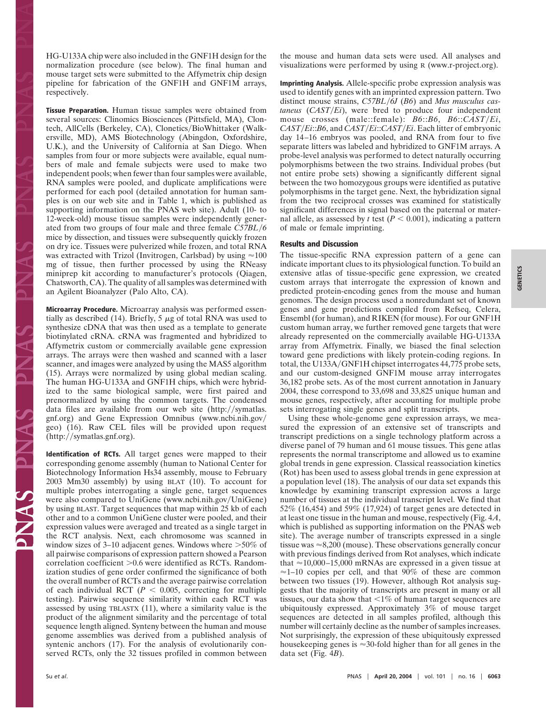HG-U133A chip were also included in the GNF1H design for the normalization procedure (see below). The final human and mouse target sets were submitted to the Affymetrix chip design pipeline for fabrication of the GNF1H and GNF1M arrays, respectively.

**Tissue Preparation.** Human tissue samples were obtained from several sources: Clinomics Biosciences (Pittsfield, MA), Clontech, AllCells (Berkeley, CA), Clonetics/BioWhittaker (Walkersville, MD), AMS Biotechnology (Abingdon, Oxfordshire, U.K.), and the University of California at San Diego. When samples from four or more subjects were available, equal numbers of male and female subjects were used to make two independent pools; when fewer than four samples were available, RNA samples were pooled, and duplicate amplifications were performed for each pool (detailed annotation for human samples is on our web site and in Table 1, which is published as supporting information on the PNAS web site). Adult (10- to 12-week-old) mouse tissue samples were independently generated from two groups of four male and three female *C57BL6* mice by dissection, and tissues were subsequently quickly frozen on dry ice. Tissues were pulverized while frozen, and total RNA was extracted with Trizol (Invitrogen, Carlsbad) by using  $\approx 100$ mg of tissue, then further processed by using the RNeasy miniprep kit according to manufacturer's protocols (Qiagen, Chatsworth, CA). The quality of all samples was determined with an Agilent Bioanalyzer (Palo Alto, CA).

**Microarray Procedure.** Microarray analysis was performed essentially as described (14). Briefly, 5  $\mu$ g of total RNA was used to synthesize cDNA that was then used as a template to generate biotinylated cRNA. cRNA was fragmented and hybridized to Affymetrix custom or commercially available gene expression arrays. The arrays were then washed and scanned with a laser scanner, and images were analyzed by using the MAS5 algorithm (15). Arrays were normalized by using global median scaling. The human HG-U133A and GNF1H chips, which were hybridized to the same biological sample, were first paired and prenormalized by using the common targets. The condensed data files are available from our web site  $(http://symatlas.$ gnf.org) and Gene Expression Omnibus (www.ncbi.nih.gov geo) (16). Raw CEL files will be provided upon request  $(\text{http://symatlas.grf.org}).$ 

**Identification of RCTs.** All target genes were mapped to their corresponding genome assembly (human to National Center for Biotechnology Information Hs34 assembly, mouse to February 2003 Mm30 assembly) by using BLAT (10). To account for multiple probes interrogating a single gene, target sequences were also compared to UniGene (www.ncbi.nih.gov/UniGene) by using BLAST. Target sequences that map within 25 kb of each other and to a common UniGene cluster were pooled, and their expression values were averaged and treated as a single target in the RCT analysis. Next, each chromosome was scanned in window sizes of 3–10 adjacent genes. Windows where  $>50\%$  of all pairwise comparisons of expression pattern showed a Pearson correlation coefficient > 0.6 were identified as RCTs. Randomization studies of gene order confirmed the significance of both the overall number of RCTs and the average pairwise correlation of each individual RCT ( $P < 0.005$ , correcting for multiple testing). Pairwise sequence similarity within each RCT was assessed by using TBLASTX (11), where a similarity value is the product of the alignment similarity and the percentage of total sequence length aligned. Synteny between the human and mouse genome assemblies was derived from a published analysis of syntenic anchors (17). For the analysis of evolutionarily conserved RCTs, only the 32 tissues profiled in common between the mouse and human data sets were used. All analyses and visualizations were performed by using R (www.r-project.org).

**Imprinting Analysis.** Allele-specific probe expression analysis was used to identify genes with an imprinted expression pattern. Two distinct mouse strains, *C57BL6J* (*B6*) and *Mus musculus castaneus* (*CASTEi*), were bred to produce four independent mouse crosses (male::female): *B6*::*B6*, *B6*::*CASTEi*, *CASTEi*::*B6*, and *CASTEi*::*CASTEi*. Each litter of embryonic day 14–16 embryos was pooled, and RNA from four to five separate litters was labeled and hybridized to GNF1M arrays. A probe-level analysis was performed to detect naturally occurring polymorphisms between the two strains. Individual probes (but not entire probe sets) showing a significantly different signal between the two homozygous groups were identified as putative polymorphisms in the target gene. Next, the hybridization signal from the two reciprocal crosses was examined for statistically significant differences in signal based on the paternal or maternal allele, as assessed by *t* test ( $P < 0.001$ ), indicating a pattern of male or female imprinting.

## **Results and Discussion**

The tissue-specific RNA expression pattern of a gene can indicate important clues to its physiological function. To build an extensive atlas of tissue-specific gene expression, we created custom arrays that interrogate the expression of known and predicted protein-encoding genes from the mouse and human genomes. The design process used a nonredundant set of known genes and gene predictions compiled from Refseq, Celera, Ensembl (for human), and RIKEN (for mouse). For our GNF1H custom human array, we further removed gene targets that were already represented on the commercially available HG-U133A array from Affymetrix. Finally, we biased the final selection toward gene predictions with likely protein-coding regions. In total, the U133A/GNF1H chipset interrogates 44,775 probe sets, and our custom-designed GNF1M mouse array interrogates 36,182 probe sets. As of the most current annotation in January 2004, these correspond to 33,698 and 33,825 unique human and mouse genes, respectively, after accounting for multiple probe sets interrogating single genes and split transcripts.

Using these whole-genome gene expression arrays, we measured the expression of an extensive set of transcripts and transcript predictions on a single technology platform across a diverse panel of 79 human and 61 mouse tissues. This gene atlas represents the normal transcriptome and allowed us to examine global trends in gene expression. Classical reassociation kinetics (Rot) has been used to assess global trends in gene expression at a population level (18). The analysis of our data set expands this knowledge by examining transcript expression across a large number of tissues at the individual transcript level. We find that 52% (16,454) and 59% (17,924) of target genes are detected in at least one tissue in the human and mouse, respectively (Fig. 4*A*, which is published as supporting information on the PNAS web site). The average number of transcripts expressed in a single tissue was  $\approx$ 8,200 (mouse). These observations generally concur with previous findings derived from Rot analyses, which indicate that  $\approx$ 10,000–15,000 mRNAs are expressed in a given tissue at  $\approx$  1–10 copies per cell, and that 90% of these are common between two tissues (19). However, although Rot analysis suggests that the majority of transcripts are present in many or all tissues, our data show that  $\leq 1\%$  of human target sequences are ubiquitously expressed. Approximately 3% of mouse target sequences are detected in all samples profiled, although this number will certainly decline as the number of samples increases. Not surprisingly, the expression of these ubiquitously expressed housekeeping genes is  $\approx 30$ -fold higher than for all genes in the data set (Fig. 4*B*).

PNAS PN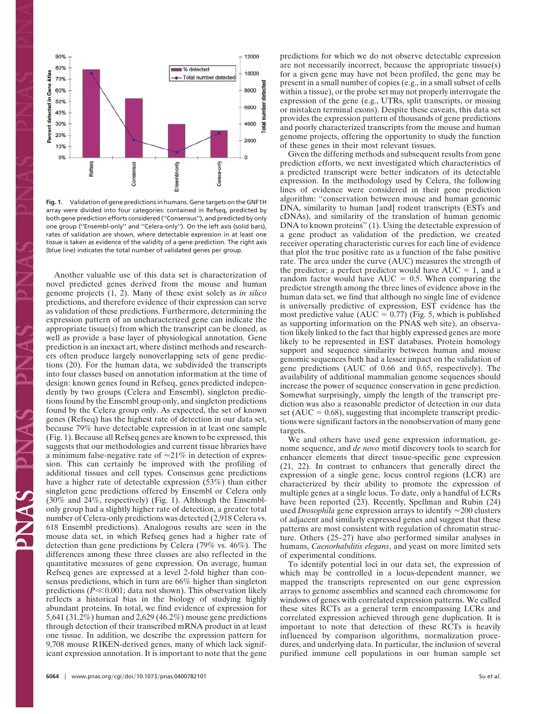

**Fig. 1.** Validation of gene predictions in humans. Gene targets on the GNF1H array were divided into four categories: contained in Refseq, predicted by both gene prediction efforts considered (''Consensus''), and predicted by only one group (''Ensembl-only'' and ''Celera-only''). On the left axis (solid bars), rates of validation are shown, where detectable expression in at least one tissue is taken as evidence of the validity of a gene prediction. The right axis (blue line) indicates the total number of validated genes per group.

Another valuable use of this data set is characterization of novel predicted genes derived from the mouse and human genome projects (1, 2). Many of these exist solely as *in silico* predictions, and therefore evidence of their expression can serve as validation of these predictions. Furthermore, determining the expression pattern of an uncharacterized gene can indicate the appropriate tissue(s) from which the transcript can be cloned, as well as provide a base layer of physiological annotation. Gene prediction is an inexact art, where distinct methods and researchers often produce largely nonoverlapping sets of gene predictions (20). For the human data, we subdivided the transcripts into four classes based on annotation information at the time of design: known genes found in Refseq, genes predicted independently by two groups (Celera and Ensembl), singleton predictions found by the Ensembl group only, and singleton predictions found by the Celera group only. As expected, the set of known genes (Refseq) has the highest rate of detection in our data set, because 79% have detectable expression in at least one sample (Fig. 1). Because all Refseq genes are known to be expressed, this suggests that our methodologies and current tissue libraries have a minimum false-negative rate of  $\approx 21\%$  in detection of expression. This can certainly be improved with the profiling of additional tissues and cell types. Consensus gene predictions have a higher rate of detectable expression (53%) than either singleton gene predictions offered by Ensembl or Celera only (30% and 24%, respectively) (Fig. 1). Although the Ensemblonly group had a slightly higher rate of detection, a greater total number of Celera-only predictions was detected (2,918 Celera vs. 618 Ensembl predictions). Analogous results are seen in the mouse data set, in which Refseq genes had a higher rate of detection than gene predictions by Celera (79% vs. 46%). The differences among these three classes are also reflected in the quantitative measures of gene expression. On average, human Refseq genes are expressed at a level 2-fold higher than consensus predictions, which in turn are 66% higher than singleton predictions ( $P \ll 0.001$ ; data not shown). This observation likely reflects a historical bias in the biology of studying highly abundant proteins. In total, we find evidence of expression for 5,641 (31.2%) human and 2,629 (46.2%) mouse gene predictions through detection of their transcribed mRNA product in at least one tissue. In addition, we describe the expression pattern for 9,708 mouse RIKEN-derived genes, many of which lack significant expression annotation. It is important to note that the gene predictions for which we do not observe detectable expression are not necessarily incorrect, because the appropriate tissue(s) for a given gene may have not been profiled, the gene may be present in a small number of copies (e.g., in a small subset of cells within a tissue), or the probe set may not properly interrogate the expression of the gene (e.g., UTRs, split transcripts, or missing or mistaken terminal exons). Despite these caveats, this data set provides the expression pattern of thousands of gene predictions and poorly characterized transcripts from the mouse and human genome projects, offering the opportunity to study the function of these genes in their most relevant tissues.

Given the differing methods and subsequent results from gene prediction efforts, we next investigated which characteristics of a predicted transcript were better indicators of its detectable expression. In the methodology used by Celera, the following lines of evidence were considered in their gene prediction algorithm: ''conservation between mouse and human genomic DNA, similarity to human [and] rodent transcripts (ESTs and cDNAs), and similarity of the translation of human genomic DNA to known proteins'' (1). Using the detectable expression of a gene product as validation of the prediction, we created receiver operating characteristic curves for each line of evidence that plot the true positive rate as a function of the false positive rate. The area under the curve (AUC) measures the strength of the predictor; a perfect predictor would have  $AUC = 1$ , and a random factor would have  $AUC = 0.5$ . When comparing the predictor strength among the three lines of evidence above in the human data set, we find that although no single line of evidence is universally predictive of expression, EST evidence has the most predictive value (AUC =  $0.77$ ) (Fig. 5, which is published as supporting information on the PNAS web site), an observation likely linked to the fact that highly expressed genes are more likely to be represented in EST databases. Protein homology support and sequence similarity between human and mouse genomic sequences both had a lesser impact on the validation of gene predictions (AUC of 0.66 and 0.65, respectively). The availability of additional mammalian genome sequences should increase the power of sequence conservation in gene prediction. Somewhat surprisingly, simply the length of the transcript prediction was also a reasonable predictor of detection in our data set ( $AUC = 0.68$ ), suggesting that incomplete transcript predictions were significant factors in the nonobservation of many gene targets.

We and others have used gene expression information, genome sequence, and *de novo* motif discovery tools to search for enhancer elements that direct tissue-specific gene expression (21, 22). In contrast to enhancers that generally direct the expression of a single gene, locus control regions (LCR) are characterized by their ability to promote the expression of multiple genes at a single locus. To date, only a handful of LCRs have been reported (23). Recently, Spellman and Rubin (24) used *Drosophila* gene expression arrays to identify  $\approx$  200 clusters of adjacent and similarly expressed genes and suggest that these patterns are most consistent with regulation of chromatin structure. Others (25–27) have also performed similar analyses in humans, *Caenorhabditis elegans*, and yeast on more limited sets of experimental conditions.

To identify potential loci in our data set, the expression of which may be controlled in a locus-dependent manner, we mapped the transcripts represented on our gene expression arrays to genome assemblies and scanned each chromosome for windows of genes with correlated expression patterns. We called these sites RCTs as a general term encompassing LCRs and correlated expression achieved through gene duplication. It is important to note that detection of these RCTs is heavily influenced by comparison algorithms, normalization procedures, and underlying data. In particular, the inclusion of several purified immune cell populations in our human sample set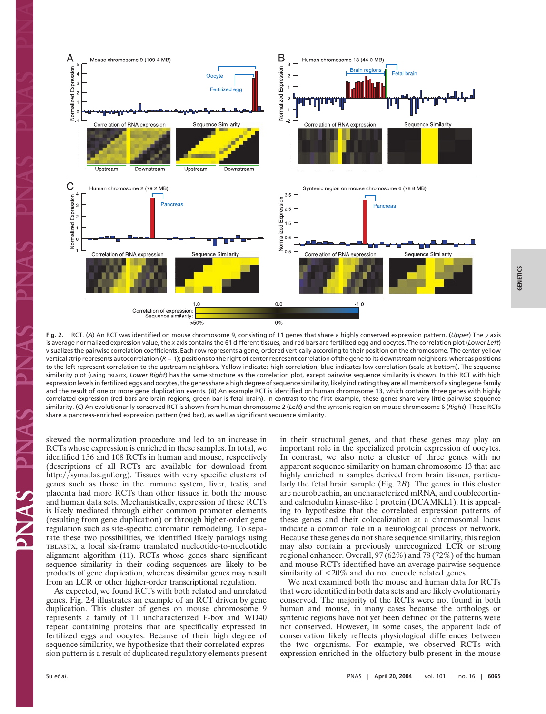

**Fig. 2.** RCT. (*A*) An RCT was identified on mouse chromosome 9, consisting of 11 genes that share a highly conserved expression pattern. (*Upper*) The *y* axis is average normalized expression value, the *x* axis contains the 61 different tissues, and red bars are fertilized egg and oocytes. The correlation plot (*Lower Left*) visualizes the pairwise correlation coefficients. Each row represents a gene, ordered vertically according to their position on the chromosome. The center yellow vertical strip represents autocorrelation (*R* 1); positions to the right of center represent correlation of the gene to its downstream neighbors, whereas positions to the left represent correlation to the upstream neighbors. Yellow indicates high correlation; blue indicates low correlation (scale at bottom). The sequence similarity plot (using TBLASTX, *Lower Right*) has the same structure as the correlation plot, except pairwise sequence similarity is shown. In this RCT with high expression levels in fertilized eggs and oocytes, the genes share a high degree of sequence similarity, likely indicating they are all members of a single gene family and the result of one or more gene duplication events. (*B*) An example RCT is identified on human chromosome 13, which contains three genes with highly correlated expression (red bars are brain regions, green bar is fetal brain). In contrast to the first example, these genes share very little pairwise sequence similarity. (*C*) An evolutionarily conserved RCT is shown from human chromosome 2 (*Left*) and the syntenic region on mouse chromosome 6 (*Right*). These RCTs share a pancreas-enriched expression pattern (red bar), as well as significant sequence similarity.

skewed the normalization procedure and led to an increase in RCTs whose expression is enriched in these samples. In total, we identified 156 and 108 RCTs in human and mouse, respectively (descriptions of all RCTs are available for download from http://symatlas.gnf.org). Tissues with very specific clusters of genes such as those in the immune system, liver, testis, and placenta had more RCTs than other tissues in both the mouse and human data sets. Mechanistically, expression of these RCTs is likely mediated through either common promoter elements (resulting from gene duplication) or through higher-order gene regulation such as site-specific chromatin remodeling. To separate these two possibilities, we identified likely paralogs using TBLASTX, a local six-frame translated nucleotide-to-nucleotide alignment algorithm (11). RCTs whose genes share significant sequence similarity in their coding sequences are likely to be products of gene duplication, whereas dissimilar genes may result from an LCR or other higher-order transcriptional regulation.

As expected, we found RCTs with both related and unrelated genes. Fig. 2*A* illustrates an example of an RCT driven by gene duplication. This cluster of genes on mouse chromosome 9 represents a family of 11 uncharacterized F-box and WD40 repeat containing proteins that are specifically expressed in fertilized eggs and oocytes. Because of their high degree of sequence similarity, we hypothesize that their correlated expression pattern is a result of duplicated regulatory elements present in their structural genes, and that these genes may play an important role in the specialized protein expression of oocytes. In contrast, we also note a cluster of three genes with no apparent sequence similarity on human chromosome 13 that are highly enriched in samples derived from brain tissues, particularly the fetal brain sample (Fig. 2*B*). The genes in this cluster are neurobeachin, an uncharacterized mRNA, and doublecortinand calmodulin kinase-like 1 protein (DCAMKL1). It is appealing to hypothesize that the correlated expression patterns of these genes and their colocalization at a chromosomal locus indicate a common role in a neurological process or network. Because these genes do not share sequence similarity, this region may also contain a previously unrecognized LCR or strong regional enhancer. Overall, 97 (62%) and 78 (72%) of the human and mouse RCTs identified have an average pairwise sequence similarity of  $\langle 20\%$  and do not encode related genes.

We next examined both the mouse and human data for RCTs that were identified in both data sets and are likely evolutionarily conserved. The majority of the RCTs were not found in both human and mouse, in many cases because the orthologs or syntenic regions have not yet been defined or the patterns were not conserved. However, in some cases, the apparent lack of conservation likely reflects physiological differences between the two organisms. For example, we observed RCTs with expression enriched in the olfactory bulb present in the mouse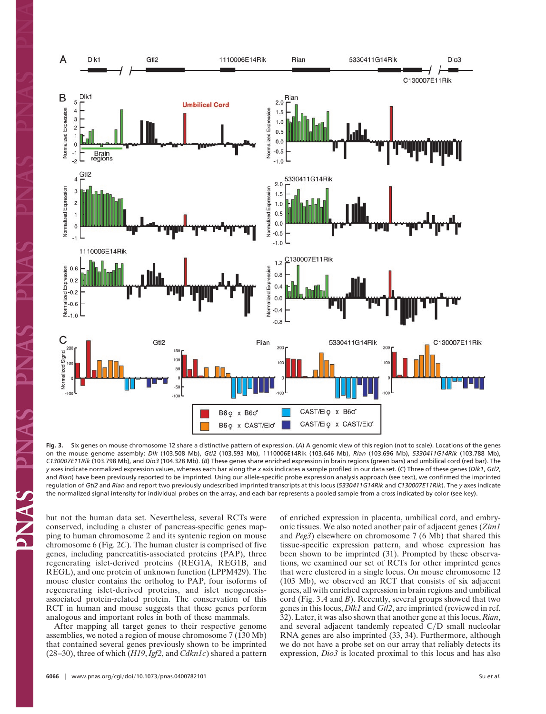

**Fig. 3.** Six genes on mouse chromosome 12 share a distinctive pattern of expression. (*A*) A genomic view of this region (not to scale). Locations of the genes on the mouse genome assembly: *Dlk* (103.508 Mb), *Gtl2* (103.593 Mb), 1110006E14Rik (103.646 Mb), *Rian* (103.696 Mb), *5330411G14Rik* (103.788 Mb), *C130007E11Rik* (103.798 Mb), and *Dio3* (104.328 Mb). (*B*) These genes share enriched expression in brain regions (green bars) and umbilical cord (red bar). The *y* axes indicate normalized expression values, whereas each bar along the *x* axis indicates a sample profiled in our data set. (*C*) Three of these genes (*Dlk1*, *Gtl2*, and *Rian*) have been previously reported to be imprinted. Using our allele-specific probe expression analysis approach (see text), we confirmed the imprinted regulation of *Gtl2* and *Rian* and report two previously undescribed imprinted transcripts at this locus (*5330411G14Rik* and *C130007E11Rik*). The *y* axes indicate the normalized signal intensity for individual probes on the array, and each bar represents a pooled sample from a cross indicated by color (see key).

but not the human data set. Nevertheless, several RCTs were conserved, including a cluster of pancreas-specific genes mapping to human chromosome 2 and its syntenic region on mouse chromosome 6 (Fig. 2*C*). The human cluster is comprised of five genes, including pancreatitis-associated proteins (PAP), three regenerating islet-derived proteins (REG1A, REG1B, and REGL), and one protein of unknown function (LPPM429). The mouse cluster contains the ortholog to PAP, four isoforms of regenerating islet-derived proteins, and islet neogenesisassociated protein-related protein. The conservation of this RCT in human and mouse suggests that these genes perform analogous and important roles in both of these mammals.

After mapping all target genes to their respective genome assemblies, we noted a region of mouse chromosome 7 (130 Mb) that contained several genes previously shown to be imprinted (28–30), three of which (*H19*, *Igf2*, and *Cdkn1c*) shared a pattern of enriched expression in placenta, umbilical cord, and embryonic tissues. We also noted another pair of adjacent genes (*Zim1* and *Peg3*) elsewhere on chromosome 7 (6 Mb) that shared this tissue-specific expression pattern, and whose expression has been shown to be imprinted (31). Prompted by these observations, we examined our set of RCTs for other imprinted genes that were clustered in a single locus. On mouse chromosome 12 (103 Mb), we observed an RCT that consists of six adjacent genes, all with enriched expression in brain regions and umbilical cord (Fig. 3 *A* and *B*). Recently, several groups showed that two genes in this locus, *Dlk1* and *Gtl2*, are imprinted (reviewed in ref. 32). Later, it was also shown that another gene at this locus, *Rian*, and several adjacent tandemly repeated  $C/D$  small nucleolar RNA genes are also imprinted (33, 34). Furthermore, although we do not have a probe set on our array that reliably detects its expression, *Dio3* is located proximal to this locus and has also